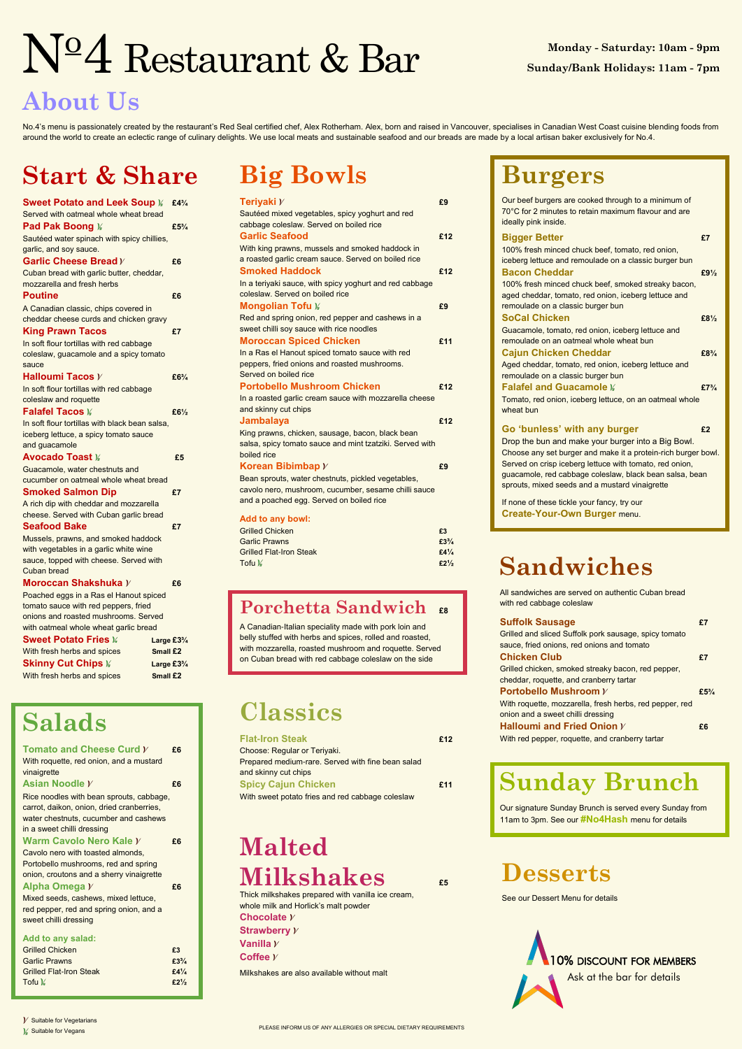PLEASE INFORM US OF ANY ALLERGIES OR SPECIAL DIETARY REQUIREMENTS



 $V$  Suitable for Vegetarians

 $\frac{1}{3}$  Suitable for Vegans

### **About Us**

No.4's menu is passionately created by the restaurant's Red Seal certified chef, Alex Rotherham. Alex, born and raised in Vancouver, specialises in Canadian West Coast cuisine blending foods from around the world to create an eclectic range of culinary delights. We use local meats and sustainable seafood and our breads are made by a local artisan baker exclusively for No.4.

## Restaurant & Bar

A Canadian-Italian speciality made with pork loin and belly stuffed with herbs and spices, rolled and roasted, with mozzarella, roasted mushroom and roquette. Served on Cuban bread with red cabbage coleslaw on the side

## **Big Bowls**

| Teriyaki $\boldsymbol{\mathcal{V}}$                      | £9  |
|----------------------------------------------------------|-----|
| Sautéed mixed vegetables, spicy yoghurt and red          |     |
| cabbage coleslaw. Served on boiled rice                  |     |
| <b>Garlic Seafood</b>                                    | £12 |
| With king prawns, mussels and smoked haddock in          |     |
| a roasted garlic cream sauce. Served on boiled rice      |     |
| <b>Smoked Haddock</b>                                    | £12 |
| In a teriyaki sauce, with spicy yoghurt and red cabbage  |     |
| coleslaw. Served on boiled rice                          |     |
| <b>Mongolian Tofu »</b>                                  | £9  |
| Red and spring onion, red pepper and cashews in a        |     |
| sweet chilli soy sauce with rice noodles                 |     |
| <b>Moroccan Spiced Chicken</b>                           | £11 |
| In a Ras el Hanout spiced tomato sauce with red          |     |
| peppers, fried onions and roasted mushrooms.             |     |
| Served on boiled rice                                    |     |
| <b>Portobello Mushroom Chicken</b>                       | £12 |
| In a roasted garlic cream sauce with mozzarella cheese   |     |
| and skinny cut chips                                     |     |
| <b>Jambalaya</b>                                         | £12 |
| King prawns, chicken, sausage, bacon, black bean         |     |
| salsa, spicy tomato sauce and mint tzatziki. Served with |     |
| boiled rice                                              |     |
| Korean Bibimbap $V$                                      | £9  |
| Bean sprouts, water chestnuts, pickled vegetables,       |     |
| cavolo nero, mushroom, cucumber, sesame chilli sauce     |     |
| and a poached egg. Served on boiled rice                 |     |
| <b>Add to any bowl:</b>                                  |     |

| Add to any bowl:               |                                |
|--------------------------------|--------------------------------|
| <b>Grilled Chicken</b>         | £3                             |
| <b>Garlic Prawns</b>           | $£3\frac{3}{4}$                |
| <b>Grilled Flat-Iron Steak</b> | £4 <sup>1</sup> / <sub>4</sub> |

#### **Porchetta Sandwich £8**

Tofu **£2½**

## **Start & Share**

| Sweet Potato and Leek Soup M £434              |                                |
|------------------------------------------------|--------------------------------|
| Served with oatmeal whole wheat bread          |                                |
| <b>Pad Pak Boong </b>                          | $£5\frac{3}{4}$                |
| Sautéed water spinach with spicy chillies,     |                                |
| garlic, and soy sauce.                         |                                |
| Garlic Cheese Bread $V$                        | £6                             |
| Cuban bread with garlic butter, cheddar,       |                                |
| mozzarella and fresh herbs                     |                                |
| <b>Poutine</b>                                 | £6                             |
| A Canadian classic, chips covered in           |                                |
| cheddar cheese curds and chicken gravy         |                                |
| <b>King Prawn Tacos</b>                        | £7                             |
| In soft flour tortillas with red cabbage       |                                |
| coleslaw, guacamole and a spicy tomato         |                                |
| sauce                                          |                                |
| Halloumi Tacos $\cal V$                        | £6 <sup>3</sup> / <sub>4</sub> |
| In soft flour tortillas with red cabbage       |                                |
| coleslaw and roquette                          |                                |
| <b>Falafel Tacos M</b>                         | £6 $\frac{1}{2}$               |
| In soft flour tortillas with black bean salsa, |                                |
| iceberg lettuce, a spicy tomato sauce          |                                |
| and guacamole                                  |                                |
| <b>Avocado Toast ¥</b>                         | £5                             |
| Guacamole, water chestnuts and                 |                                |
| cucumber on oatmeal whole wheat bread          |                                |
| <b>Smoked Salmon Dip</b>                       | £7                             |
| A rich dip with cheddar and mozzarella         |                                |
| cheese. Served with Cuban garlic bread         |                                |
| <b>Seafood Bake</b>                            | £7                             |
| Mussels, prawns, and smoked haddock            |                                |
| with vegetables in a garlic white wine         |                                |
| sauce, topped with cheese. Served with         |                                |
| <b>Cuban bread</b>                             |                                |
| Moroccan Shakshuka Y                           | £6                             |
| Poached eggs in a Ras el Hanout spiced         |                                |
| tomato sauce with red peppers, fried           |                                |
| onions and roasted mushrooms. Served           |                                |
| with oatmeal whole wheat garlic bread          |                                |
| <b>Sweet Potato Fries »</b>                    | Large $£3\frac{3}{4}$          |
| With fresh herbs and spices                    | Small £2                       |
| <b>Skinny Cut Chips</b> %                      | Large £3 <sup>3</sup> /4       |
| With fresh herbs and spices                    | Small £2                       |
|                                                |                                |

## **Malted**   $Milkshakes$

## **Salads**

| £6 |
|----|
|    |
|    |
| £6 |
|    |

Rice noodles with bean sprouts, cabbage, carrot, daikon, onion, dried cranberries, water chestnuts, cucumber and cashews in a sweet chilli dressing

#### **Warm Cavolo Nero Kale**  $\frac{1}{2}$  **£6**

Cavolo nero with toasted almonds, Portobello mushrooms, red and spring onion, croutons and a sherry vinaigrette

#### **Alpha Omega £6**

Mixed seeds, cashews, mixed lettuce, red pepper, red and spring onion, and a sweet chilli dressing

#### **Add to any salad:**

| <b>Grilled Chicken</b>         | £3                             |
|--------------------------------|--------------------------------|
| <b>Garlic Prawns</b>           | £ $3\frac{3}{4}$               |
| <b>Grilled Flat-Iron Steak</b> | £4 <sup>1</sup> / <sub>4</sub> |
| Tofu $\mathcal{V}_4$           | $£2\frac{1}{2}$                |
|                                |                                |

#### **Classics**

| <b>Flat-Iron Steak</b>                            | £12 |
|---------------------------------------------------|-----|
| Choose: Regular or Teriyaki.                      |     |
| Prepared medium-rare. Served with fine bean salad |     |
| and skinny cut chips                              |     |
| <b>Spicy Cajun Chicken</b>                        | £11 |

With sweet potato fries and red cabbage coleslaw

| PORTODEIIO MUSNIOOM <i>Y</i>                            | ±5 <sup>2</sup> |
|---------------------------------------------------------|-----------------|
| With roquette, mozzarella, fresh herbs, red pepper, red |                 |
| onion and a sweet chilli dressing                       |                 |
| Halloumi and Fried Onion $V$                            | £6              |
| With red pepper, roquette, and cranberry tartar         |                 |

## **Burgers**

| Our beef burgers are cooked through to a minimum of<br>70°C for 2 minutes to retain maximum flavour and are<br>ideally pink inside.                                                                                                                                                                                         |                                |
|-----------------------------------------------------------------------------------------------------------------------------------------------------------------------------------------------------------------------------------------------------------------------------------------------------------------------------|--------------------------------|
| <b>Bigger Better</b><br>100% fresh minced chuck beef, tomato, red onion,<br>iceberg lettuce and remoulade on a classic burger bun                                                                                                                                                                                           | £7                             |
| <b>Bacon Cheddar</b><br>100% fresh minced chuck beef, smoked streaky bacon,<br>aged cheddar, tomato, red onion, iceberg lettuce and<br>remoulade on a classic burger bun                                                                                                                                                    | $£9\frac{1}{2}$                |
| <b>SoCal Chicken</b><br>Guacamole, tomato, red onion, iceberg lettuce and<br>remoulade on an oatmeal whole wheat bun                                                                                                                                                                                                        | $£8\frac{1}{2}$                |
| <b>Cajun Chicken Cheddar</b><br>Aged cheddar, tomato, red onion, iceberg lettuce and<br>remoulade on a classic burger bun                                                                                                                                                                                                   | $£8\frac{3}{4}$                |
| <b>Falafel and Guacamole %</b><br>Tomato, red onion, iceberg lettuce, on an oatmeal whole<br>wheat bun                                                                                                                                                                                                                      | £7 <sup>3</sup> / <sub>4</sub> |
| Go 'bunless' with any burger<br>Drop the bun and make your burger into a Big Bowl.<br>Choose any set burger and make it a protein-rich burger bowl.<br>Served on crisp iceberg lettuce with tomato, red onion,<br>guacamole, red cabbage coleslaw, black bean salsa, bean<br>sprouts, mixed seeds and a mustard vinaigrette | £2                             |
| If none of these tickle your fancy, try our<br><b>Create-Your-Own Burger menu.</b>                                                                                                                                                                                                                                          |                                |
| <b>Sandwiches</b><br>All sandwiches are served on authentic Cuban bread<br>with red cabbage coleslaw                                                                                                                                                                                                                        |                                |
| <b>Suffolk Sausage</b><br>Grilled and sliced Suffolk pork sausage, spicy tomato                                                                                                                                                                                                                                             | £7                             |
| sauce, fried onions, red onions and tomato<br><b>Chicken Club</b><br>Grilled chicken, smoked streaky bacon, red pepper,                                                                                                                                                                                                     | £7                             |
| cheddar, roquette, and cranberry tartar<br>Portobello Mushroom V                                                                                                                                                                                                                                                            | $£5\frac{3}{4}$                |

## **Sunday Brunch**

Our signature Sunday Brunch is served every Sunday from 11am to 3pm. See our **#No4Hash** menu for details

#### **Desserts**

See our Dessert Menu for details

Thick milkshakes prepared with vanilla ice cream, whole milk and Horlick's malt powder **Chocolate Strawberry Vanilla Coffee** 

Milkshakes are also available without malt